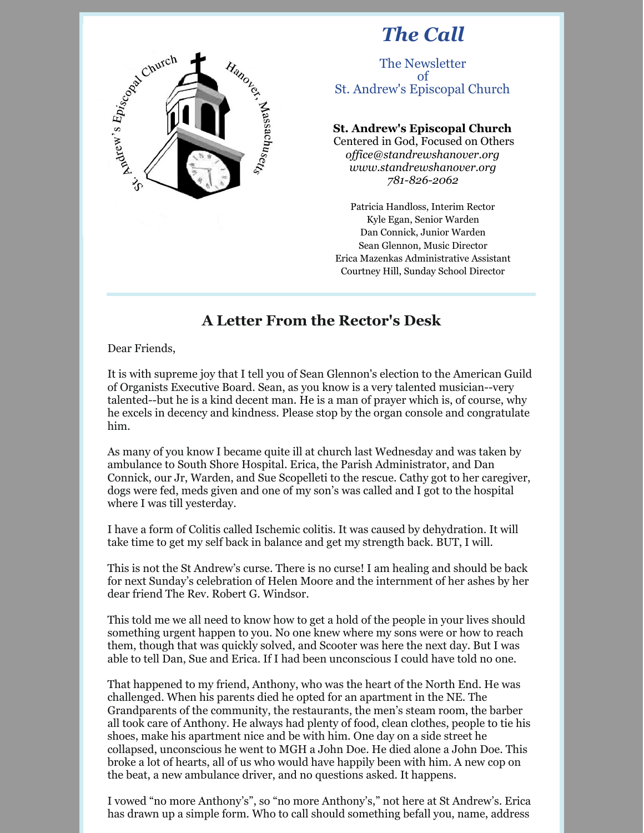# *The Call*



### The Newsletter of St. Andrew's Episcopal Church

### **St. Andrew's Episcopal Church**

Centered in God, Focused on Others *of [ice@standrewshanover.org](mailto:office@standrewshanover.org) [www.standrewshanover.org](http://www.standrewshanover.org/) 781-826-2062*

Patricia Handloss, Interim Rector Kyle Egan, Senior Warden Dan Connick, Junior Warden Sean Glennon, Music Director Erica Mazenkas Administrative Assistant Courtney Hill, Sunday School Director

## **A Letter From the Rector's Desk**

Dear Friends,

It is with supreme joy that I tell you of Sean Glennon's election to the American Guild of Organists Executive Board. Sean, as you know is a very talented musician--very talented--but he is a kind decent man. He is a man of prayer which is, of course, why he excels in decency and kindness. Please stop by the organ console and congratulate him.

As many of you know I became quite ill at church last Wednesday and was taken by ambulance to South Shore Hospital. Erica, the Parish Administrator, and Dan Connick, our Jr, Warden, and Sue Scopelleti to the rescue. Cathy got to her caregiver, dogs were fed, meds given and one of my son's was called and I got to the hospital where I was till yesterday.

I have a form of Colitis called Ischemic colitis. It was caused by dehydration. It will take time to get my self back in balance and get my strength back. BUT, I will.

This is not the St Andrew's curse. There is no curse! I am healing and should be back for next Sunday's celebration of Helen Moore and the internment of her ashes by her dear friend The Rev. Robert G. Windsor.

This told me we all need to know how to get a hold of the people in your lives should something urgent happen to you. No one knew where my sons were or how to reach them, though that was quickly solved, and Scooter was here the next day. But I was able to tell Dan, Sue and Erica. If I had been unconscious I could have told no one.

That happened to my friend, Anthony, who was the heart of the North End. He was challenged. When his parents died he opted for an apartment in the NE. The Grandparents of the community, the restaurants, the men's steam room, the barber all took care of Anthony. He always had plenty of food, clean clothes, people to tie his shoes, make his apartment nice and be with him. One day on a side street he collapsed, unconscious he went to MGH a John Doe. He died alone a John Doe. This broke a lot of hearts, all of us who would have happily been with him. A new cop on the beat, a new ambulance driver, and no questions asked. It happens.

I vowed "no more Anthony's", so "no more Anthony's," not here at St Andrew's. Erica has drawn up a simple form. Who to call should something befall you, name, address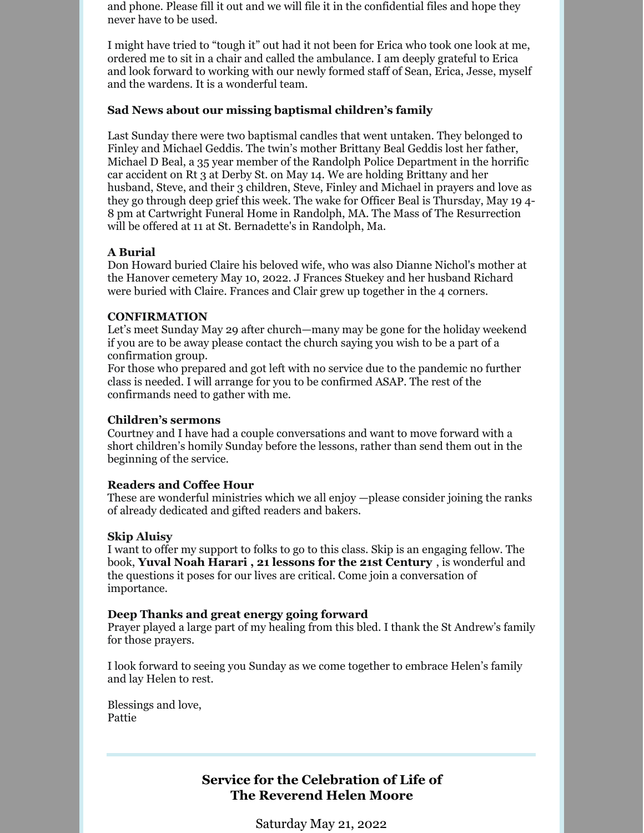and phone. Please fill it out and we will file it in the confidential files and hope they never have to be used.

I might have tried to "tough it" out had it not been for Erica who took one look at me, ordered me to sit in a chair and called the ambulance. I am deeply grateful to Erica and look forward to working with our newly formed staff of Sean, Erica, Jesse, myself and the wardens. It is a wonderful team.

#### **Sad News about our missing baptismal children's family**

Last Sunday there were two baptismal candles that went untaken. They belonged to Finley and Michael Geddis. The twin's mother Brittany Beal Geddis lost her father, Michael D Beal, a 35 year member of the Randolph Police Department in the horrific car accident on Rt 3 at Derby St. on May 14. We are holding Brittany and her husband, Steve, and their 3 children, Steve, Finley and Michael in prayers and love as they go through deep grief this week. The wake for Officer Beal is Thursday, May 19 4- 8 pm at Cartwright Funeral Home in Randolph, MA. The Mass of The Resurrection will be offered at 11 at St. Bernadette's in Randolph, Ma.

#### **A Burial**

Don Howard buried Claire his beloved wife, who was also Dianne Nichol's mother at the Hanover cemetery May 10, 2022. J Frances Stuekey and her husband Richard were buried with Claire. Frances and Clair grew up together in the 4 corners.

#### **CONFIRMATION**

Let's meet Sunday May 29 after church—many may be gone for the holiday weekend if you are to be away please contact the church saying you wish to be a part of a confirmation group.

For those who prepared and got left with no service due to the pandemic no further class is needed. I will arrange for you to be confirmed ASAP. The rest of the confirmands need to gather with me.

#### **Children's sermons**

Courtney and I have had a couple conversations and want to move forward with a short children's homily Sunday before the lessons, rather than send them out in the beginning of the service.

#### **Readers and Coffee Hour**

These are wonderful ministries which we all enjoy —please consider joining the ranks of already dedicated and gifted readers and bakers.

#### **Skip Aluisy**

I want to offer my support to folks to go to this class. Skip is an engaging fellow. The book, **Yuval Noah Harari , 21 lessons for the 21st Century** , is wonderful and the questions it poses for our lives are critical. Come join a conversation of importance.

#### **Deep Thanks and great energy going forward**

Prayer played a large part of my healing from this bled. I thank the St Andrew's family for those prayers.

I look forward to seeing you Sunday as we come together to embrace Helen's family and lay Helen to rest.

Blessings and love, Pattie

## **Service for the Celebration of Life of The Reverend Helen Moore**

Saturday May 21, 2022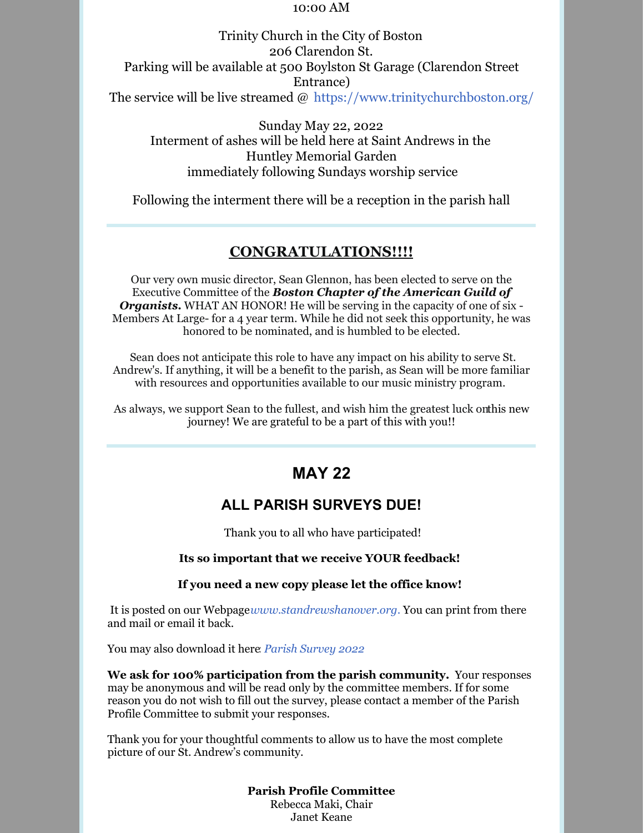#### 10:00 AM

Trinity Church in the City of Boston 206 Clarendon St. Parking will be available at 500 Boylston St Garage (Clarendon Street Entrance) The service will be live streamed  $\omega$  https://www.trinitychurchboston.org/

Sunday May 22, 2022 Interment of ashes will be held here at Saint Andrews in the Huntley Memorial Garden immediately following Sundays worship service

Following the interment there will be a reception in the parish hall

### **CONGRATULATIONS!!!!**

Our very own music director, Sean Glennon, has been elected to serve on the Executive Committee of the *Boston Chapter of the American Guild of Organists.* WHAT AN HONOR! He will be serving in the capacity of one of six - Members At Large- for a 4 year term. While he did not seek this opportunity, he was honored to be nominated, and is humbled to be elected.

Sean does not anticipate this role to have any impact on his ability to serve St. Andrew's. If anything, it will be a benefit to the parish, as Sean will be more familiar with resources and opportunities available to our music ministry program.

As always, we support Sean to the fullest, and wish him the greatest luck onthis new journey! We are grateful to be a part of this with you!!

## **MAY 22**

## **ALL PARISH SURVEYS DUE!**

Thank you to all who have participated!

#### **Its so important that we receive YOUR feedback!**

#### **If you need a new copy please let the office know!**

It is posted on our Webpage*[www.standrewshanover.org](https://www.standrewshanover.org/)*. You can print from there and mail or email it back.

You may also download it here: *Parish [Survey](https://files.constantcontact.com/b07d2f4a001/5887be1c-4797-4b58-9b80-d2298e479b06.pdf?rdr=true) 2022*

**We ask for 100% participation from the parish community.** Your responses may be anonymous and will be read only by the committee members. If for some reason you do not wish to fill out the survey, please contact a member of the Parish Profile Committee to submit your responses.

Thank you for your thoughtful comments to allow us to have the most complete picture of our St. Andrew's community.

> **Parish Profile Committee** Rebecca Maki, Chair Janet Keane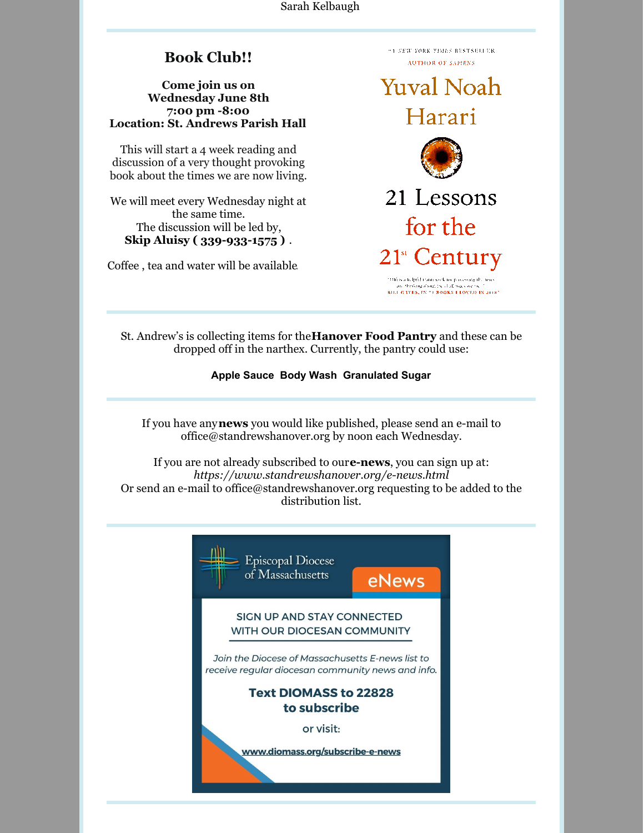Sarah Kelbaugh

## **Book Club!!**

#### **Come join us on Wednesday June 8th 7:00 pm -8:00 Location: St. Andrews Parish Hall**

This will start a 4 week reading and discussion of a very thought provoking book about the times we are now living.

We will meet every Wednesday night at the same time. The discussion will be led by, **Skip Aluisy ( 339-933-1575 )** .

Coffee , tea and water will be available.

**TA NEW YORK TIMES RESTSELLER AUTHOR OF SAPIENS** 

**Yuval Noah** Harari



21 Lessons for the 21<sup>st</sup> Century

1016 is a fullpful train work for processing the news and the Graphical County of all the County of the County of the County of the County of the County of the County of the County of the County of the County of the County of the County of the County of the County of the Coun

St. Andrew's is collecting items for the**Hanover Food Pantry** and these can be dropped off in the narthex. Currently, the pantry could use:

**Apple Sauce Body Wash Granulated Sugar**

If you have any**news** you would like published, please send an e-mail to office@standrewshanover.org by noon each Wednesday.

If you are not already subscribed to our**e-news**, you can sign up at: *<https://www.standrewshanover.org/e-news.html>* Or send an e-mail to office@standrewshanover.org requesting to be added to the distribution list.